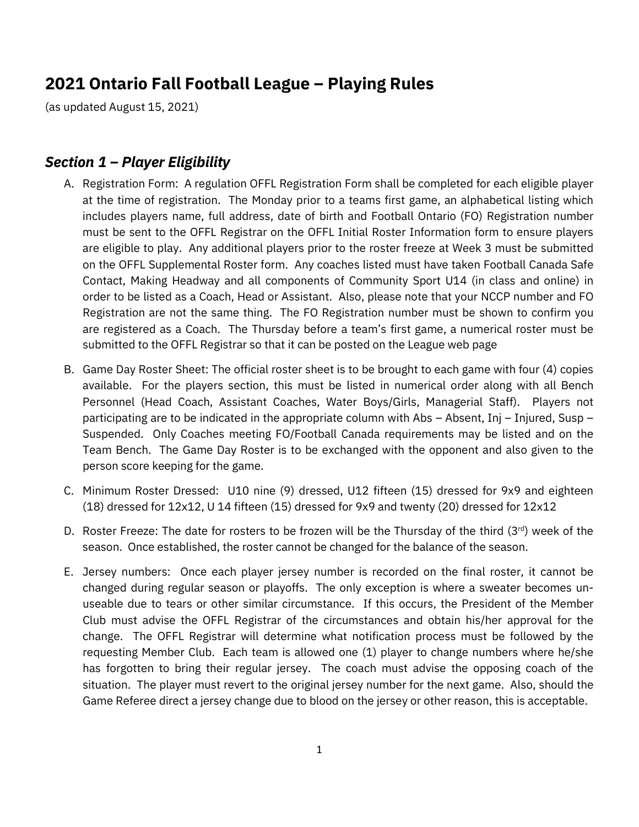# **2021 Ontario Fall Football League – Playing Rules**

(as updated August 15, 2021)

#### *Section 1 – Player Eligibility*

- A. Registration Form: A regulation OFFL Registration Form shall be completed for each eligible player at the time of registration. The Monday prior to a teams first game, an alphabetical listing which includes players name, full address, date of birth and Football Ontario (FO) Registration number must be sent to the OFFL Registrar on the OFFL Initial Roster Information form to ensure players are eligible to play. Any additional players prior to the roster freeze at Week 3 must be submitted on the OFFL Supplemental Roster form. Any coaches listed must have taken Football Canada Safe Contact, Making Headway and all components of Community Sport U14 (in class and online) in order to be listed as a Coach, Head or Assistant. Also, please note that your NCCP number and FO Registration are not the same thing. The FO Registration number must be shown to confirm you are registered as a Coach. The Thursday before a team's first game, a numerical roster must be submitted to the OFFL Registrar so that it can be posted on the League web page
- B. Game Day Roster Sheet: The official roster sheet is to be brought to each game with four (4) copies available. For the players section, this must be listed in numerical order along with all Bench Personnel (Head Coach, Assistant Coaches, Water Boys/Girls, Managerial Staff). Players not participating are to be indicated in the appropriate column with Abs – Absent, Inj – Injured, Susp – Suspended. Only Coaches meeting FO/Football Canada requirements may be listed and on the Team Bench. The Game Day Roster is to be exchanged with the opponent and also given to the person score keeping for the game.
- C. Minimum Roster Dressed: U10 nine (9) dressed, U12 fifteen (15) dressed for 9x9 and eighteen (18) dressed for 12x12, U 14 fifteen (15) dressed for 9x9 and twenty (20) dressed for 12x12
- D. Roster Freeze: The date for rosters to be frozen will be the Thursday of the third  $(3^{rd})$  week of the season. Once established, the roster cannot be changed for the balance of the season.
- E. Jersey numbers: Once each player jersey number is recorded on the final roster, it cannot be changed during regular season or playoffs. The only exception is where a sweater becomes unuseable due to tears or other similar circumstance. If this occurs, the President of the Member Club must advise the OFFL Registrar of the circumstances and obtain his/her approval for the change. The OFFL Registrar will determine what notification process must be followed by the requesting Member Club. Each team is allowed one (1) player to change numbers where he/she has forgotten to bring their regular jersey. The coach must advise the opposing coach of the situation. The player must revert to the original jersey number for the next game. Also, should the Game Referee direct a jersey change due to blood on the jersey or other reason, this is acceptable.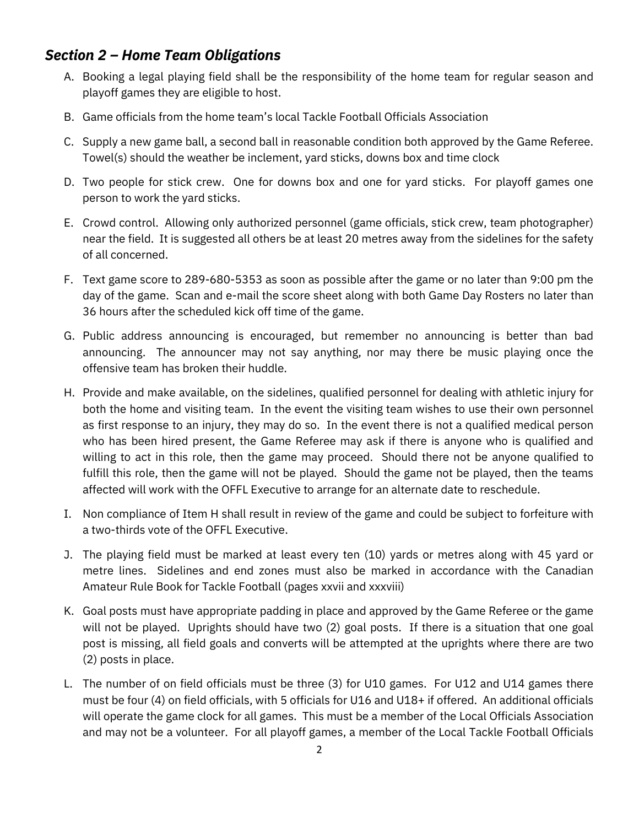### *Section 2 – Home Team Obligations*

- A. Booking a legal playing field shall be the responsibility of the home team for regular season and playoff games they are eligible to host.
- B. Game officials from the home team's local Tackle Football Officials Association
- C. Supply a new game ball, a second ball in reasonable condition both approved by the Game Referee. Towel(s) should the weather be inclement, yard sticks, downs box and time clock
- D. Two people for stick crew. One for downs box and one for yard sticks. For playoff games one person to work the yard sticks.
- E. Crowd control. Allowing only authorized personnel (game officials, stick crew, team photographer) near the field. It is suggested all others be at least 20 metres away from the sidelines for the safety of all concerned.
- F. Text game score to 289-680-5353 as soon as possible after the game or no later than 9:00 pm the day of the game. Scan and e-mail the score sheet along with both Game Day Rosters no later than 36 hours after the scheduled kick off time of the game.
- G. Public address announcing is encouraged, but remember no announcing is better than bad announcing. The announcer may not say anything, nor may there be music playing once the offensive team has broken their huddle.
- H. Provide and make available, on the sidelines, qualified personnel for dealing with athletic injury for both the home and visiting team. In the event the visiting team wishes to use their own personnel as first response to an injury, they may do so. In the event there is not a qualified medical person who has been hired present, the Game Referee may ask if there is anyone who is qualified and willing to act in this role, then the game may proceed. Should there not be anyone qualified to fulfill this role, then the game will not be played. Should the game not be played, then the teams affected will work with the OFFL Executive to arrange for an alternate date to reschedule.
- I. Non compliance of Item H shall result in review of the game and could be subject to forfeiture with a two-thirds vote of the OFFL Executive.
- J. The playing field must be marked at least every ten (10) yards or metres along with 45 yard or metre lines. Sidelines and end zones must also be marked in accordance with the Canadian Amateur Rule Book for Tackle Football (pages xxvii and xxxviii)
- K. Goal posts must have appropriate padding in place and approved by the Game Referee or the game will not be played. Uprights should have two (2) goal posts. If there is a situation that one goal post is missing, all field goals and converts will be attempted at the uprights where there are two (2) posts in place.
- L. The number of on field officials must be three (3) for U10 games. For U12 and U14 games there must be four (4) on field officials, with 5 officials for U16 and U18+ if offered. An additional officials will operate the game clock for all games. This must be a member of the Local Officials Association and may not be a volunteer. For all playoff games, a member of the Local Tackle Football Officials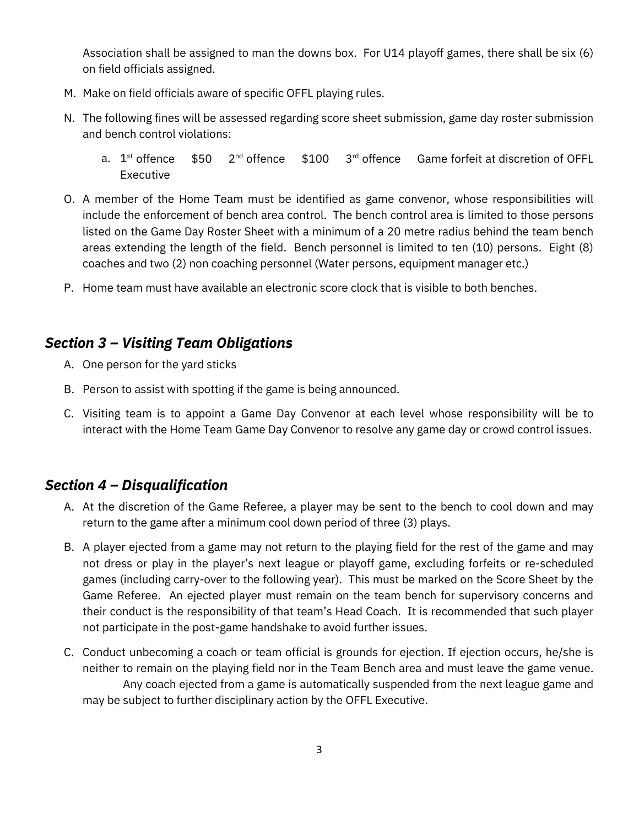Association shall be assigned to man the downs box. For U14 playoff games, there shall be six (6) on field officials assigned.

- M. Make on field officials aware of specific OFFL playing rules.
- N. The following fines will be assessed regarding score sheet submission, game day roster submission and bench control violations:
	- a.  $1^{st}$  offence  $$50$   $2^{nd}$  offence  $$100$   $3^{rd}$  offence Game forfeit at discretion of OFFL Executive
- O. A member of the Home Team must be identified as game convenor, whose responsibilities will include the enforcement of bench area control. The bench control area is limited to those persons listed on the Game Day Roster Sheet with a minimum of a 20 metre radius behind the team bench areas extending the length of the field. Bench personnel is limited to ten (10) persons. Eight (8) coaches and two (2) non coaching personnel (Water persons, equipment manager etc.)
- P. Home team must have available an electronic score clock that is visible to both benches.

#### *Section 3 – Visiting Team Obligations*

- A. One person for the yard sticks
- B. Person to assist with spotting if the game is being announced.
- C. Visiting team is to appoint a Game Day Convenor at each level whose responsibility will be to interact with the Home Team Game Day Convenor to resolve any game day or crowd control issues.

#### *Section 4 – Disqualification*

- A. At the discretion of the Game Referee, a player may be sent to the bench to cool down and may return to the game after a minimum cool down period of three (3) plays.
- B. A player ejected from a game may not return to the playing field for the rest of the game and may not dress or play in the player's next league or playoff game, excluding forfeits or re-scheduled games (including carry-over to the following year). This must be marked on the Score Sheet by the Game Referee. An ejected player must remain on the team bench for supervisory concerns and their conduct is the responsibility of that team's Head Coach. It is recommended that such player not participate in the post-game handshake to avoid further issues.
- C. Conduct unbecoming a coach or team official is grounds for ejection. If ejection occurs, he/she is neither to remain on the playing field nor in the Team Bench area and must leave the game venue. Any coach ejected from a game is automatically suspended from the next league game and may be subject to further disciplinary action by the OFFL Executive.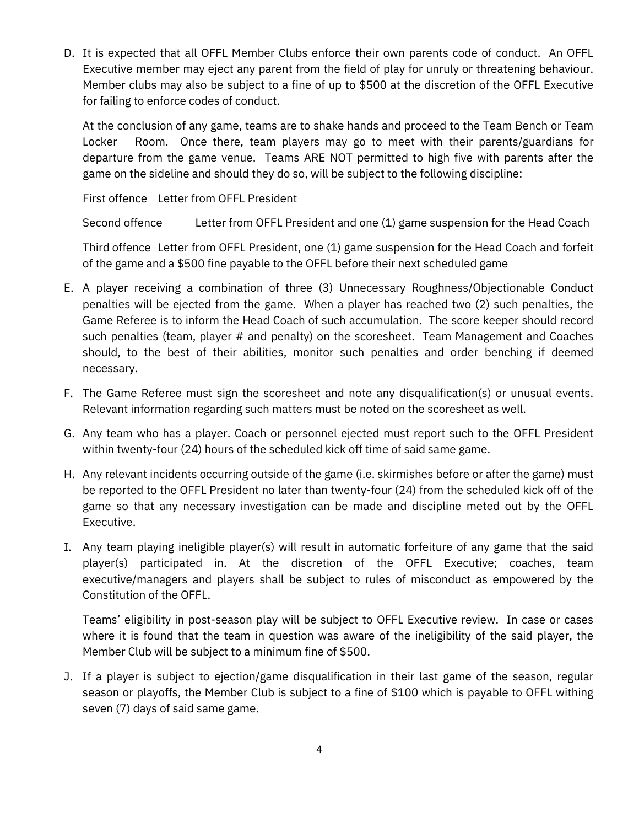D. It is expected that all OFFL Member Clubs enforce their own parents code of conduct. An OFFL Executive member may eject any parent from the field of play for unruly or threatening behaviour. Member clubs may also be subject to a fine of up to \$500 at the discretion of the OFFL Executive for failing to enforce codes of conduct.

At the conclusion of any game, teams are to shake hands and proceed to the Team Bench or Team Locker Room. Once there, team players may go to meet with their parents/guardians for departure from the game venue. Teams ARE NOT permitted to high five with parents after the game on the sideline and should they do so, will be subject to the following discipline:

First offence Letter from OFFL President

Second offence Letter from OFFL President and one (1) game suspension for the Head Coach

Third offence Letter from OFFL President, one (1) game suspension for the Head Coach and forfeit of the game and a \$500 fine payable to the OFFL before their next scheduled game

- E. A player receiving a combination of three (3) Unnecessary Roughness/Objectionable Conduct penalties will be ejected from the game. When a player has reached two (2) such penalties, the Game Referee is to inform the Head Coach of such accumulation. The score keeper should record such penalties (team, player # and penalty) on the scoresheet. Team Management and Coaches should, to the best of their abilities, monitor such penalties and order benching if deemed necessary.
- F. The Game Referee must sign the scoresheet and note any disqualification(s) or unusual events. Relevant information regarding such matters must be noted on the scoresheet as well.
- G. Any team who has a player. Coach or personnel ejected must report such to the OFFL President within twenty-four (24) hours of the scheduled kick off time of said same game.
- H. Any relevant incidents occurring outside of the game (i.e. skirmishes before or after the game) must be reported to the OFFL President no later than twenty-four (24) from the scheduled kick off of the game so that any necessary investigation can be made and discipline meted out by the OFFL Executive.
- I. Any team playing ineligible player(s) will result in automatic forfeiture of any game that the said player(s) participated in. At the discretion of the OFFL Executive; coaches, team executive/managers and players shall be subject to rules of misconduct as empowered by the Constitution of the OFFL.

Teams' eligibility in post-season play will be subject to OFFL Executive review. In case or cases where it is found that the team in question was aware of the ineligibility of the said player, the Member Club will be subject to a minimum fine of \$500.

J. If a player is subject to ejection/game disqualification in their last game of the season, regular season or playoffs, the Member Club is subject to a fine of \$100 which is payable to OFFL withing seven (7) days of said same game.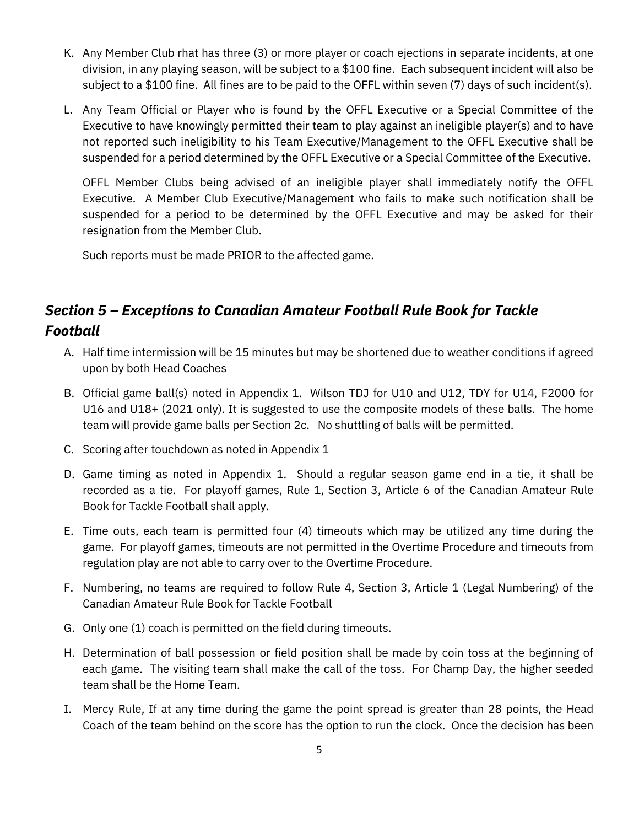- K. Any Member Club rhat has three (3) or more player or coach ejections in separate incidents, at one division, in any playing season, will be subject to a \$100 fine. Each subsequent incident will also be subject to a \$100 fine. All fines are to be paid to the OFFL within seven (7) days of such incident(s).
- L. Any Team Official or Player who is found by the OFFL Executive or a Special Committee of the Executive to have knowingly permitted their team to play against an ineligible player(s) and to have not reported such ineligibility to his Team Executive/Management to the OFFL Executive shall be suspended for a period determined by the OFFL Executive or a Special Committee of the Executive.

OFFL Member Clubs being advised of an ineligible player shall immediately notify the OFFL Executive. A Member Club Executive/Management who fails to make such notification shall be suspended for a period to be determined by the OFFL Executive and may be asked for their resignation from the Member Club.

Such reports must be made PRIOR to the affected game.

## *Section 5 – Exceptions to Canadian Amateur Football Rule Book for Tackle Football*

- A. Half time intermission will be 15 minutes but may be shortened due to weather conditions if agreed upon by both Head Coaches
- B. Official game ball(s) noted in Appendix 1. Wilson TDJ for U10 and U12, TDY for U14, F2000 for U16 and U18+ (2021 only). It is suggested to use the composite models of these balls. The home team will provide game balls per Section 2c. No shuttling of balls will be permitted.
- C. Scoring after touchdown as noted in Appendix 1
- D. Game timing as noted in Appendix 1. Should a regular season game end in a tie, it shall be recorded as a tie. For playoff games, Rule 1, Section 3, Article 6 of the Canadian Amateur Rule Book for Tackle Football shall apply.
- E. Time outs, each team is permitted four (4) timeouts which may be utilized any time during the game. For playoff games, timeouts are not permitted in the Overtime Procedure and timeouts from regulation play are not able to carry over to the Overtime Procedure.
- F. Numbering, no teams are required to follow Rule 4, Section 3, Article 1 (Legal Numbering) of the Canadian Amateur Rule Book for Tackle Football
- G. Only one (1) coach is permitted on the field during timeouts.
- H. Determination of ball possession or field position shall be made by coin toss at the beginning of each game. The visiting team shall make the call of the toss. For Champ Day, the higher seeded team shall be the Home Team.
- I. Mercy Rule, If at any time during the game the point spread is greater than 28 points, the Head Coach of the team behind on the score has the option to run the clock. Once the decision has been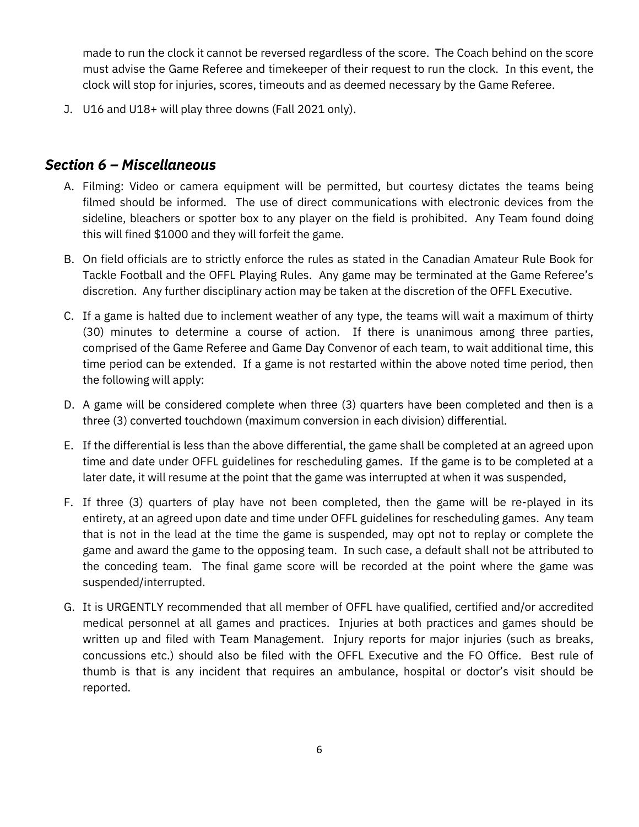made to run the clock it cannot be reversed regardless of the score. The Coach behind on the score must advise the Game Referee and timekeeper of their request to run the clock. In this event, the clock will stop for injuries, scores, timeouts and as deemed necessary by the Game Referee.

J. U16 and U18+ will play three downs (Fall 2021 only).

#### *Section 6 – Miscellaneous*

- A. Filming: Video or camera equipment will be permitted, but courtesy dictates the teams being filmed should be informed. The use of direct communications with electronic devices from the sideline, bleachers or spotter box to any player on the field is prohibited. Any Team found doing this will fined \$1000 and they will forfeit the game.
- B. On field officials are to strictly enforce the rules as stated in the Canadian Amateur Rule Book for Tackle Football and the OFFL Playing Rules. Any game may be terminated at the Game Referee's discretion. Any further disciplinary action may be taken at the discretion of the OFFL Executive.
- C. If a game is halted due to inclement weather of any type, the teams will wait a maximum of thirty (30) minutes to determine a course of action. If there is unanimous among three parties, comprised of the Game Referee and Game Day Convenor of each team, to wait additional time, this time period can be extended. If a game is not restarted within the above noted time period, then the following will apply:
- D. A game will be considered complete when three (3) quarters have been completed and then is a three (3) converted touchdown (maximum conversion in each division) differential.
- E. If the differential is less than the above differential, the game shall be completed at an agreed upon time and date under OFFL guidelines for rescheduling games. If the game is to be completed at a later date, it will resume at the point that the game was interrupted at when it was suspended,
- F. If three (3) quarters of play have not been completed, then the game will be re-played in its entirety, at an agreed upon date and time under OFFL guidelines for rescheduling games. Any team that is not in the lead at the time the game is suspended, may opt not to replay or complete the game and award the game to the opposing team. In such case, a default shall not be attributed to the conceding team. The final game score will be recorded at the point where the game was suspended/interrupted.
- G. It is URGENTLY recommended that all member of OFFL have qualified, certified and/or accredited medical personnel at all games and practices. Injuries at both practices and games should be written up and filed with Team Management. Injury reports for major injuries (such as breaks, concussions etc.) should also be filed with the OFFL Executive and the FO Office. Best rule of thumb is that is any incident that requires an ambulance, hospital or doctor's visit should be reported.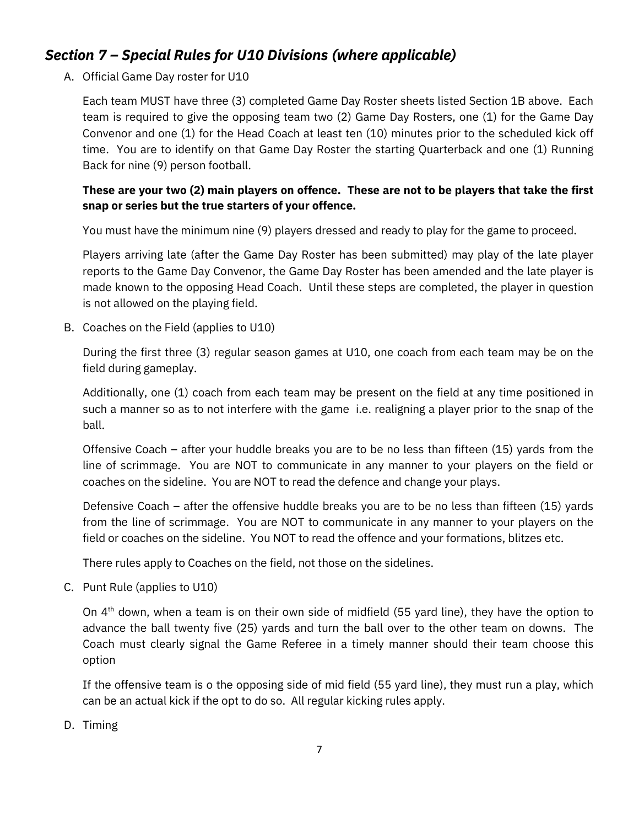### *Section 7 – Special Rules for U10 Divisions (where applicable)*

A. Official Game Day roster for U10

Each team MUST have three (3) completed Game Day Roster sheets listed Section 1B above. Each team is required to give the opposing team two (2) Game Day Rosters, one (1) for the Game Day Convenor and one (1) for the Head Coach at least ten (10) minutes prior to the scheduled kick off time. You are to identify on that Game Day Roster the starting Quarterback and one (1) Running Back for nine (9) person football.

#### **These are your two (2) main players on offence. These are not to be players that take the first snap or series but the true starters of your offence.**

You must have the minimum nine (9) players dressed and ready to play for the game to proceed.

Players arriving late (after the Game Day Roster has been submitted) may play of the late player reports to the Game Day Convenor, the Game Day Roster has been amended and the late player is made known to the opposing Head Coach. Until these steps are completed, the player in question is not allowed on the playing field.

B. Coaches on the Field (applies to U10)

During the first three (3) regular season games at U10, one coach from each team may be on the field during gameplay.

Additionally, one (1) coach from each team may be present on the field at any time positioned in such a manner so as to not interfere with the game i.e. realigning a player prior to the snap of the ball.

Offensive Coach – after your huddle breaks you are to be no less than fifteen (15) yards from the line of scrimmage. You are NOT to communicate in any manner to your players on the field or coaches on the sideline. You are NOT to read the defence and change your plays.

Defensive Coach – after the offensive huddle breaks you are to be no less than fifteen (15) yards from the line of scrimmage. You are NOT to communicate in any manner to your players on the field or coaches on the sideline. You NOT to read the offence and your formations, blitzes etc.

There rules apply to Coaches on the field, not those on the sidelines.

C. Punt Rule (applies to U10)

On  $4<sup>th</sup>$  down, when a team is on their own side of midfield (55 yard line), they have the option to advance the ball twenty five (25) yards and turn the ball over to the other team on downs. The Coach must clearly signal the Game Referee in a timely manner should their team choose this option

If the offensive team is o the opposing side of mid field (55 yard line), they must run a play, which can be an actual kick if the opt to do so. All regular kicking rules apply.

D. Timing